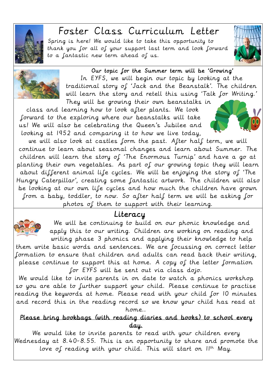

# Foster Class Curriculum Letter

Spring is here! We would like to take this opportunity to thank you for all of your support last term and look forward to a fantastic new term ahead of us.





#### Our topic for the Summer term will be 'Growing'

In EYFS, we will begin our topic by looking at the traditional story of 'Jack and the Beanstalk'. The children will learn the story and retell this using 'Talk for Writing.' They will be growing their own beanstalks in

class and learning how to look after plants. We look forward to the exploring where our beanstalks will take us! We will also be celebrating the Queen's Jubilee and looking at 1952 and comparing it to how we live today,

we will also look at castles form the past. After half term, we will continue to learn about seasonal changes and learn about Summer. The children will learn the story of 'The Enormous Turnip' and have a go at planting their own vegetables. As part of our growing topic they will learn about different animal life cycles. We will be enjoying the story of 'The Hungry Caterpillar', creating some fantastic artwork. The children will also be looking at our own life cycles and how much the children have grown from a baby, toddler, to now. So after half term we will be asking for photos of them to support with their learning.

## Literacy



 $\mathbb{R}^n$ 

We will be continuing to build on our phonic knowledge and apply this to our writing. Children are working on reading and writing phase 3 phonics and applying their knowledge to help

them write basic words and sentences. We are focussing on correct letter formation to ensure that children and adults can read back their writing, please continue to support this at home. A copy of the letter formation for EYFS will be sent out via class dojo.

We would like to invite parents in on date to watch a phonics workshop so you are able to further support your child. Please continue to practise reading the keywords at home. Please read with your child for 10 minutes and record this in the reading record so we know your child has read at home..

#### Please bring bookbags (with reading diaries and books) to school every day.

We would like to invite parents to read with your children every Wednesday at 8.40-8.55. This is an opportunity to share and promote the love of reading with your child. This will start on  $II^{th}$  May.